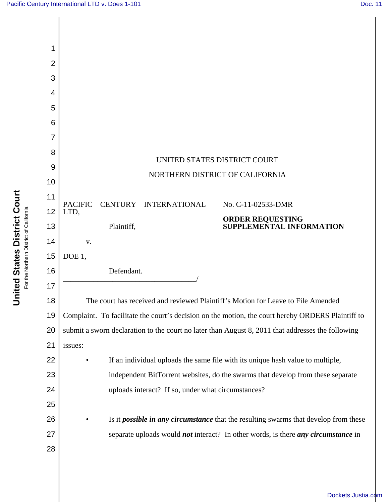

**United States District Court United States District Court** For the Northern District of California For the Northern District of California

[Dockets.Justia.com](http://dockets.justia.com/)